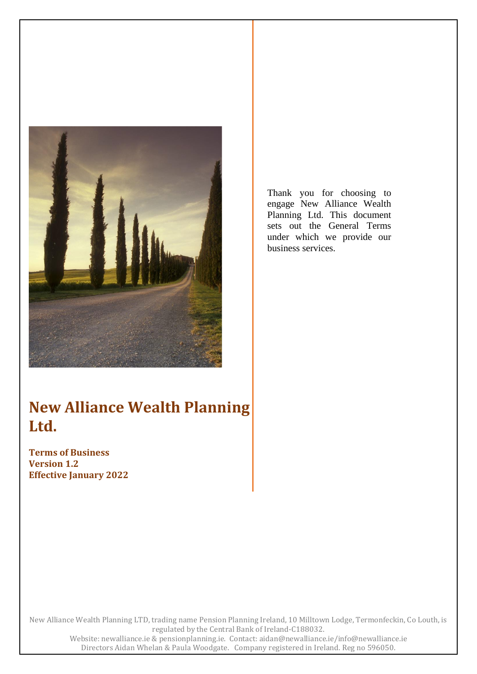

Thank you for choosing to engage New Alliance Wealth Planning Ltd. This document sets out the General Terms under which we provide our business services.

# **New Alliance Wealth Planning Ltd.**

**Terms of Business Version 1.2 Effective January 2022**

New Alliance Wealth Planning LTD, trading name Pension Planning Ireland, 10 Milltown Lodge, Termonfeckin, Co Louth, is regulated by the Central Bank of Ireland-C188032. Website: newalliance.ie & pensionplanning.ie. Contact: aidan@newalliance.ie/info@newalliance.ie Directors Aidan Whelan & Paula Woodgate. Company registered in Ireland. Reg no 596050.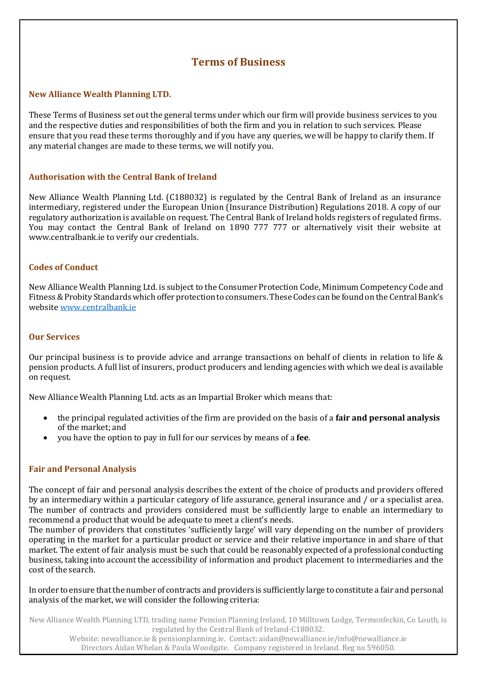# **Terms of Business**

#### **New Alliance Wealth Planning LTD.**

These Terms of Business set out the general terms under which our firm will provide business services to you and the respective duties and responsibilities of both the firm and you in relation to such services. Please ensure that you read these terms thoroughly and if you have any queries, we will be happy to clarify them. If any material changes are made to these terms, we will notify you.

#### **Authorisation with the Central Bank of Ireland**

New Alliance Wealth Planning Ltd. (C188032) is regulated by the Central Bank of Ireland as an insurance intermediary, registered under the European Union (Insurance Distribution) Regulations 2018. A copy of our regulatory authorization is available on request. The Central Bank of Ireland holds registers of regulated firms. You may contact the Central Bank of Ireland on 1890 777 777 or alternatively visit their website at [www.centralbank.ie](http://www.centralbank.ie/) to verify our credentials.

#### **Codes of Conduct**

New Alliance Wealth Planning Ltd. is subject to the Consumer Protection Code, Minimum Competency Code and Fitness&Probity Standardswhichofferprotectiontoconsumers.TheseCodes canbe foundon the Central Bank's website [www.centralbank.ie](http://www.centralbank.ie/)

#### **Our Services**

Our principal business is to provide advice and arrange transactions on behalf of clients in relation to life & pension products. A full list of insurers, product producers and lending agencies with which we deal is available on request.

New Alliance Wealth Planning Ltd. acts as an Impartial Broker which means that:

- the principal regulated activities of the firm are provided on the basis of a **fair and personal analysis**  of the market; and
- you have the option to pay in full for our services by means of a **fee**.

#### **Fair and Personal Analysis**

The concept of fair and personal analysis describes the extent of the choice of products and providers offered by an intermediary within a particular category of life assurance, general insurance and / or a specialist area. The number of contracts and providers considered must be sufficiently large to enable an intermediary to recommend a product that would be adequate to meet a client's needs.

The number of providers that constitutes 'sufficiently large' will vary depending on the number of providers operating in the market for a particular product or service and their relative importance in and share of that market. The extent of fair analysis must be such that could be reasonably expected of a professional conducting business, taking into accountthe accessibility of information and product placement to intermediaries and the cost of the search.

In order to ensure that the number of contracts and providers is sufficiently large to constitute a fair and personal analysis of the market, we will consider the following criteria:

New Alliance Wealth Planning LTD, trading name Pension Planning Ireland, 10 Milltown Lodge, Termonfeckin, Co Louth, is regulated by the Central Bank of Ireland-C188032.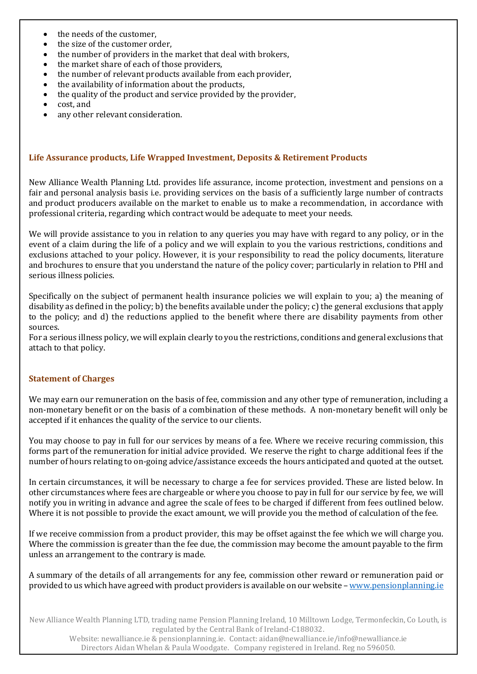- the needs of the customer.
- the size of the customer order.
- the number of providers in the market that deal with brokers,
- the market share of each of those providers,
- the number of relevant products available from each provider,
- the availability of information about the products,
- the quality of the product and service provided by the provider,
- cost, and
- any other relevant consideration.

#### **Life Assurance products, Life Wrapped Investment, Deposits & Retirement Products**

New Alliance Wealth Planning Ltd. provides life assurance, income protection, investment and pensions on a fair and personal analysis basis i.e. providing services on the basis of a sufficiently large number of contracts and product producers available on the market to enable us to make a recommendation, in accordance with professional criteria, regarding which contract would be adequate to meet your needs.

We will provide assistance to you in relation to any queries you may have with regard to any policy, or in the event of a claim during the life of a policy and we will explain to you the various restrictions, conditions and exclusions attached to your policy. However, it is your responsibility to read the policy documents, literature and brochures to ensure that you understand the nature of the policy cover; particularly in relation to PHI and serious illness policies.

Specifically on the subject of permanent health insurance policies we will explain to you; a) the meaning of disability as defined in the policy; b) the benefits available under the policy; c) the general exclusions that apply to the policy; and d) the reductions applied to the benefit where there are disability payments from other sources.

For a serious illness policy, we will explain clearly to you the restrictions, conditions and general exclusions that attach to that policy.

#### **Statement of Charges**

We may earn our remuneration on the basis of fee, commission and any other type of remuneration, including a non-monetary benefit or on the basis of a combination of these methods. A non-monetary benefit will only be accepted if it enhances the quality of the service to our clients.

You may choose to pay in full for our services by means of a fee. Where we receive recuring commission, this forms part of the remuneration for initial advice provided. We reserve the right to charge additional fees if the number of hours relating to on-going advice/assistance exceeds the hours anticipated and quoted at the outset.

In certain circumstances, it will be necessary to charge a fee for services provided. These are listed below. In other circumstances where fees are chargeable or where you choose to pay in full for our service by fee, we will notify you in writing in advance and agree the scale of fees to be charged if different from fees outlined below. Where it is not possible to provide the exact amount, we will provide you the method of calculation of the fee.

If we receive commission from a product provider, this may be offset against the fee which we will charge you. Where the commission is greater than the fee due, the commission may become the amount payable to the firm unless an arrangement to the contrary is made.

A summary of the details of all arrangements for any fee, commission other reward or remuneration paid or provided to us which have agreed with product providers is available on our website – [www.pensionplanning.ie](http://www.pensionplanning.ie/)

New Alliance Wealth Planning LTD, trading name Pension Planning Ireland, 10 Milltown Lodge, Termonfeckin, Co Louth, is regulated by the Central Bank of Ireland-C188032.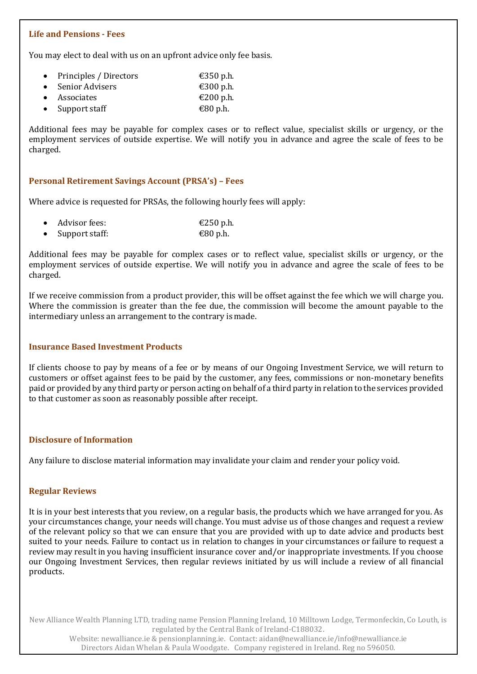#### **Life and Pensions - Fees**

You may elect to deal with us on an upfront advice only fee basis.

- Principles / Directors  $\epsilon$ 350 p.h.
- $\epsilon$  Senior Advisers  $\epsilon$  300 p.h. Associates  $\epsilon$  200 p.h.
- Support staff  $\epsilon$ 80 p.h.

Additional fees may be payable for complex cases or to reflect value, specialist skills or urgency, or the employment services of outside expertise. We will notify you in advance and agree the scale of fees to be charged.

#### **Personal Retirement Savings Account (PRSA's) – Fees**

Where advice is requested for PRSAs, the following hourly fees will apply:

| $\bullet$ Advisor fees: | €250 p.h. |
|-------------------------|-----------|
| • Support staff:        | €80 p.h.  |

Additional fees may be payable for complex cases or to reflect value, specialist skills or urgency, or the employment services of outside expertise. We will notify you in advance and agree the scale of fees to be charged.

If we receive commission from a product provider, this will be offset against the fee which we will charge you. Where the commission is greater than the fee due, the commission will become the amount payable to the intermediary unless an arrangement to the contrary ismade.

#### **Insurance Based Investment Products**

If clients choose to pay by means of a fee or by means of our Ongoing Investment Service, we will return to customers or offset against fees to be paid by the customer, any fees, commissions or non-monetary benefits paid or provided by any third party or person acting on behalf of a third party in relation to the services provided to that customer as soon as reasonably possible after receipt.

#### **Disclosure of Information**

Any failure to disclose material information may invalidate your claim and render your policy void.

#### **Regular Reviews**

It is in your best interests that you review, on a regular basis, the products which we have arranged for you. As your circumstances change, your needs will change. You must advise us of those changes and request a review of the relevant policy so that we can ensure that you are provided with up to date advice and products best suited to your needs. Failure to contact us in relation to changes in your circumstances or failure to request a review may result in you having insufficient insurance cover and/or inappropriate investments. If you choose our Ongoing Investment Services, then regular reviews initiated by us will include a review of all financial products.

New Alliance Wealth Planning LTD, trading name Pension Planning Ireland, 10 Milltown Lodge, Termonfeckin, Co Louth, is regulated by the Central Bank of Ireland-C188032.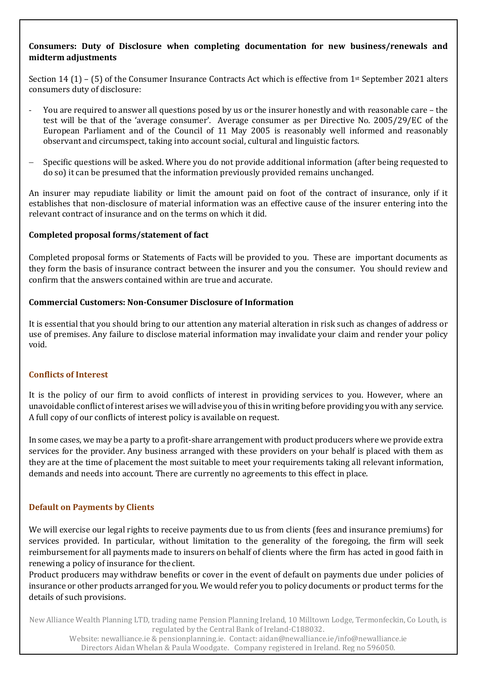# **Consumers: Duty of Disclosure when completing documentation for new business/renewals and midterm adjustments**

Section 14 (1) – (5) of the Consumer Insurance Contracts Act which is effective from 1st September 2021 alters consumers duty of disclosure:

- You are required to answer all questions posed by us or the insurer honestly and with reasonable care the test will be that of the 'average consumer'. Average consumer as per Directive No. 2005/29/EC of the European Parliament and of the Council of 11 May 2005 is reasonably well informed and reasonably observant and circumspect, taking into account social, cultural and linguistic factors.
- − Specific questions will be asked. Where you do not provide additional information (after being requested to do so) it can be presumed that the information previously provided remains unchanged.

An insurer may repudiate liability or limit the amount paid on foot of the contract of insurance, only if it establishes that non-disclosure of material information was an effective cause of the insurer entering into the relevant contract of insurance and on the terms on which it did.

#### **Completed proposal forms/statement of fact**

Completed proposal forms or Statements of Facts will be provided to you. These are important documents as they form the basis of insurance contract between the insurer and you the consumer. You should review and confirm that the answers contained within are true and accurate.

#### **Commercial Customers: Non-Consumer Disclosure of Information**

It is essential that you should bring to our attention any material alteration in risk such as changes of address or use of premises. Any failure to disclose material information may invalidate your claim and render your policy void.

#### **Conflicts of Interest**

It is the policy of our firm to avoid conflicts of interest in providing services to you. However, where an unavoidable conflict of interest arises we will advise you of this in writing before providing you with any service. A full copy of our conflicts of interest policy is available on request.

In some cases, we may be a party to a profit-share arrangement with product producers where we provide extra services for the provider. Any business arranged with these providers on your behalf is placed with them as they are at the time of placement the most suitable to meet your requirements taking all relevant information, demands and needs into account. There are currently no agreements to this effect in place.

#### **Default on Payments by Clients**

We will exercise our legal rights to receive payments due to us from clients (fees and insurance premiums) for services provided. In particular, without limitation to the generality of the foregoing, the firm will seek reimbursement for all payments made to insurers on behalf of clients where the firm has acted in good faith in renewing a policy of insurance for the client.

Product producers may withdraw benefits or cover in the event of default on payments due under policies of insurance or other products arranged for you. We would refer you to policy documents or product terms for the details of such provisions.

New Alliance Wealth Planning LTD, trading name Pension Planning Ireland, 10 Milltown Lodge, Termonfeckin, Co Louth, is regulated by the Central Bank of Ireland-C188032.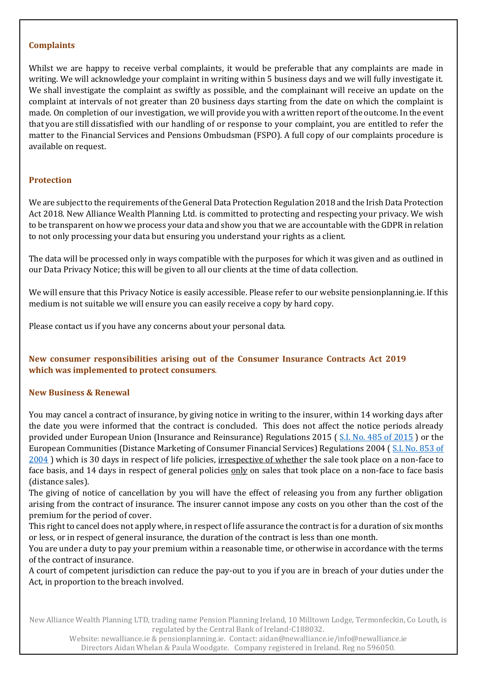#### **Complaints**

Whilst we are happy to receive verbal complaints, it would be preferable that any complaints are made in writing. We will acknowledge your complaint in writing within 5 business days and we will fully investigate it. We shall investigate the complaint as swiftly as possible, and the complainant will receive an update on the complaint at intervals of not greater than 20 business days starting from the date on which the complaint is made. On completion of our investigation, we will provide you with a written report of the outcome. In the event that you are still dissatisfied with our handling of or response to your complaint, you are entitled to refer the matter to the Financial Services and Pensions Ombudsman (FSPO). A full copy of our complaints procedure is available on request.

# **Protection**

We are subject to the requirements of the General Data Protection Regulation 2018 and the Irish Data Protection Act 2018. New Alliance Wealth Planning Ltd. is committed to protecting and respecting your privacy. We wish to be transparent on how we process your data and show you that we are accountable with the GDPR in relation to not only processing your data but ensuring you understand your rights as a client.

The data will be processed only in ways compatible with the purposes for which it was given and as outlined in our Data Privacy Notice; this will be given to all our clients at the time of data collection.

We will ensure that this Privacy Notice is easily accessible. Please refer to our website pensionplanning.ie. If this medium is not suitable we will ensure you can easily receive a copy by hard copy.

Please contact us if you have any concerns about your personal data.

# **New consumer responsibilities arising out of the Consumer Insurance Contracts Act 2019 which was implemented to protect consumers**.

#### **New Business & Renewal**

You may cancel a contract of insurance, by giving notice in writing to the insurer, within 14 working days after the date you were informed that the contract is concluded. This does not affect the notice periods already provided under European Union (Insurance and Reinsurance) Regulations 2015 ( [S.I. No. 485 of 2015](http://www.irishstatutebook.ie/2015/en/si/0485.html) ) or the European Communities (Distance Marketing of Consumer Financial Services) Regulations 2004 ( [S.I. No. 853 of](http://www.irishstatutebook.ie/2004/en/si/0853.html)  [2004](http://www.irishstatutebook.ie/2004/en/si/0853.html)) which is 30 days in respect of life policies, irrespective of whether the sale took place on a non-face to face basis, and 14 days in respect of general policies only on sales that took place on a non-face to face basis (distance sales).

The giving of notice of cancellation by you will have the effect of releasing you from any further obligation arising from the contract of insurance. The insurer cannot impose any costs on you other than the cost of the premium for the period of cover.

This right to cancel does not apply where, in respect of life assurance the contract is for a duration of six months or less, or in respect of general insurance, the duration of the contract is less than one month.

You are under a duty to pay your premium within a reasonable time, or otherwise in accordance with the terms of the contract of insurance.

A court of competent jurisdiction can reduce the pay-out to you if you are in breach of your duties under the Act, in proportion to the breach involved.

New Alliance Wealth Planning LTD, trading name Pension Planning Ireland, 10 Milltown Lodge, Termonfeckin, Co Louth, is regulated by the Central Bank of Ireland-C188032.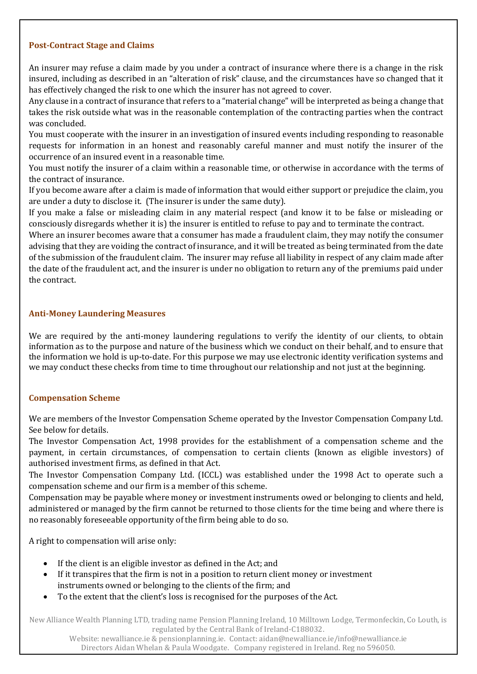#### **Post-Contract Stage and Claims**

An insurer may refuse a claim made by you under a contract of insurance where there is a change in the risk insured, including as described in an "alteration of risk" clause, and the circumstances have so changed that it has effectively changed the risk to one which the insurer has not agreed to cover.

Any clause in a contract of insurance that refers to a "material change" will be interpreted as being a change that takes the risk outside what was in the reasonable contemplation of the contracting parties when the contract was concluded.

You must cooperate with the insurer in an investigation of insured events including responding to reasonable requests for information in an honest and reasonably careful manner and must notify the insurer of the occurrence of an insured event in a reasonable time.

You must notify the insurer of a claim within a reasonable time, or otherwise in accordance with the terms of the contract of insurance.

If you become aware after a claim is made of information that would either support or prejudice the claim, you are under a duty to disclose it. (The insurer is under the same duty).

If you make a false or misleading claim in any material respect (and know it to be false or misleading or consciously disregards whether it is) the insurer is entitled to refuse to pay and to terminate the contract.

Where an insurer becomes aware that a consumer has made a fraudulent claim, they may notify the consumer advising that they are voiding the contract of insurance, and it will be treated as being terminated from the date of the submission of the fraudulent claim. The insurer may refuse all liability in respect of any claim made after the date of the fraudulent act, and the insurer is under no obligation to return any of the premiums paid under the contract.

#### **Anti-Money Laundering Measures**

We are required by the anti-money laundering regulations to verify the identity of our clients, to obtain information as to the purpose and nature of the business which we conduct on their behalf, and to ensure that the information we hold is up-to-date. For this purpose we may use electronic identity verification systems and we may conduct these checks from time to time throughout our relationship and not just at the beginning.

#### **Compensation Scheme**

We are members of the Investor Compensation Scheme operated by the Investor Compensation Company Ltd. See below for details.

The Investor Compensation Act, 1998 provides for the establishment of a compensation scheme and the payment, in certain circumstances, of compensation to certain clients (known as eligible investors) of authorised investment firms, as defined in that Act.

The Investor Compensation Company Ltd. (ICCL) was established under the 1998 Act to operate such a compensation scheme and our firm is a member of this scheme.

Compensation may be payable where money or investment instruments owed or belonging to clients and held, administered or managed by the firm cannot be returned to those clients for the time being and where there is no reasonably foreseeable opportunity of the firm being able to do so.

A right to compensation will arise only:

- If the client is an eligible investor as defined in the Act; and
- If it transpires that the firm is not in a position to return client money or investment instruments owned or belonging to the clients of the firm; and
- To the extent that the client's loss is recognised for the purposes of the Act.

New Alliance Wealth Planning LTD, trading name Pension Planning Ireland, 10 Milltown Lodge, Termonfeckin, Co Louth, is regulated by the Central Bank of Ireland-C188032.